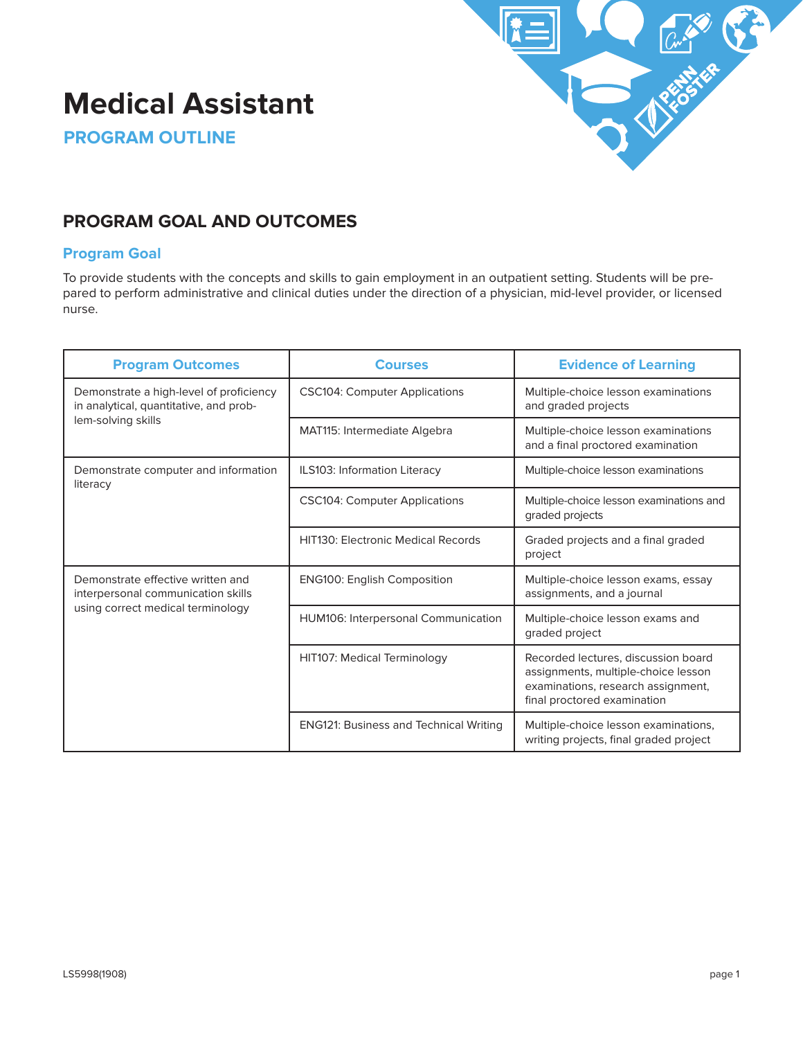# **Medical Assistant**



**PROGRAM OUTLINE**

# **PROGRAM GOAL AND OUTCOMES**

# **Program Goal**

To provide students with the concepts and skills to gain employment in an outpatient setting. Students will be prepared to perform administrative and clinical duties under the direction of a physician, mid-level provider, or licensed nurse.

| <b>Program Outcomes</b>                                                                                      | <b>Courses</b>                                | <b>Evidence of Learning</b>                                                                                                                     |  |
|--------------------------------------------------------------------------------------------------------------|-----------------------------------------------|-------------------------------------------------------------------------------------------------------------------------------------------------|--|
| Demonstrate a high-level of proficiency<br>in analytical, quantitative, and prob-<br>lem-solving skills      | <b>CSC104: Computer Applications</b>          | Multiple-choice lesson examinations<br>and graded projects                                                                                      |  |
|                                                                                                              | <b>MAT115: Intermediate Algebra</b>           | Multiple-choice lesson examinations<br>and a final proctored examination                                                                        |  |
| Demonstrate computer and information<br>literacy                                                             | ILS103: Information Literacy                  | Multiple-choice lesson examinations                                                                                                             |  |
|                                                                                                              | <b>CSC104: Computer Applications</b>          | Multiple-choice lesson examinations and<br>graded projects                                                                                      |  |
|                                                                                                              | <b>HIT130: Electronic Medical Records</b>     | Graded projects and a final graded<br>project                                                                                                   |  |
| Demonstrate effective written and<br>interpersonal communication skills<br>using correct medical terminology | <b>ENG100: English Composition</b>            | Multiple-choice lesson exams, essay<br>assignments, and a journal                                                                               |  |
|                                                                                                              | HUM106: Interpersonal Communication           | Multiple-choice lesson exams and<br>graded project                                                                                              |  |
|                                                                                                              | HIT107: Medical Terminology                   | Recorded lectures, discussion board<br>assignments, multiple-choice lesson<br>examinations, research assignment,<br>final proctored examination |  |
|                                                                                                              | <b>ENG121: Business and Technical Writing</b> | Multiple-choice lesson examinations,<br>writing projects, final graded project                                                                  |  |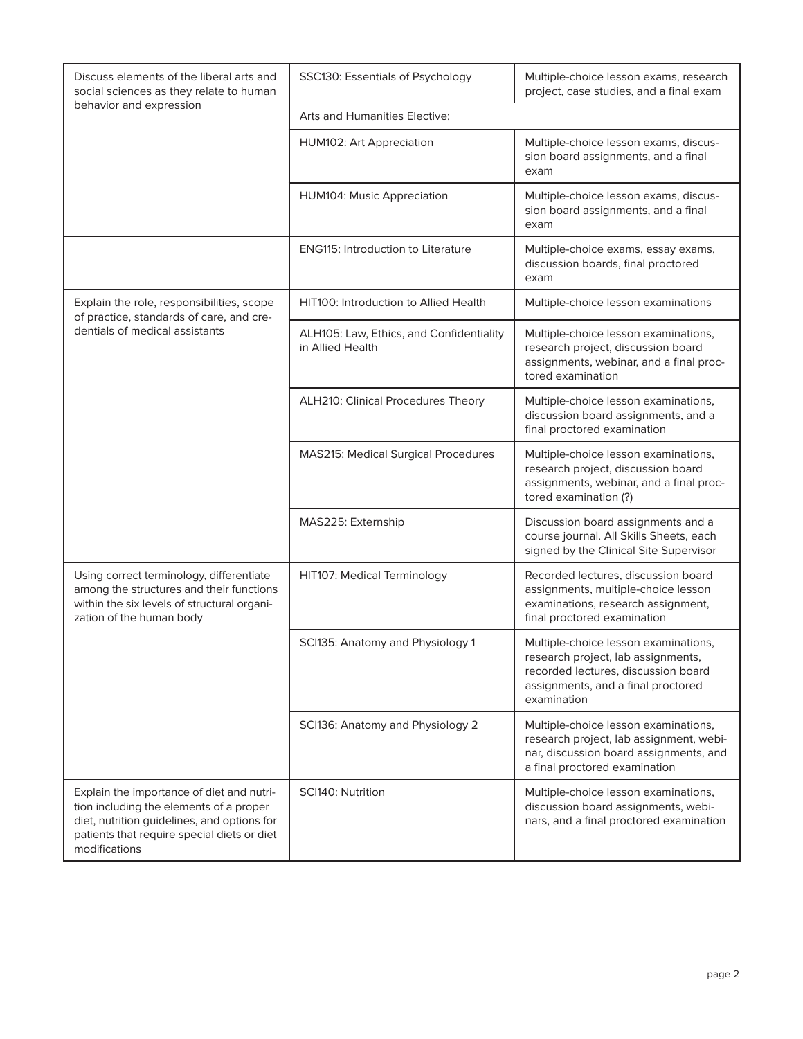| Discuss elements of the liberal arts and<br>social sciences as they relate to human                                                                                                                 | SSC130: Essentials of Psychology                             | Multiple-choice lesson exams, research<br>project, case studies, and a final exam                                                                                      |  |
|-----------------------------------------------------------------------------------------------------------------------------------------------------------------------------------------------------|--------------------------------------------------------------|------------------------------------------------------------------------------------------------------------------------------------------------------------------------|--|
| behavior and expression                                                                                                                                                                             | Arts and Humanities Elective:                                |                                                                                                                                                                        |  |
|                                                                                                                                                                                                     | HUM102: Art Appreciation                                     | Multiple-choice lesson exams, discus-<br>sion board assignments, and a final<br>exam                                                                                   |  |
|                                                                                                                                                                                                     | HUM104: Music Appreciation                                   | Multiple-choice lesson exams, discus-<br>sion board assignments, and a final<br>exam                                                                                   |  |
|                                                                                                                                                                                                     | <b>ENG115: Introduction to Literature</b>                    | Multiple-choice exams, essay exams,<br>discussion boards, final proctored<br>exam                                                                                      |  |
| Explain the role, responsibilities, scope<br>of practice, standards of care, and cre-                                                                                                               | HIT100: Introduction to Allied Health                        | Multiple-choice lesson examinations                                                                                                                                    |  |
| dentials of medical assistants                                                                                                                                                                      | ALH105: Law, Ethics, and Confidentiality<br>in Allied Health | Multiple-choice lesson examinations,<br>research project, discussion board<br>assignments, webinar, and a final proc-<br>tored examination                             |  |
|                                                                                                                                                                                                     | ALH210: Clinical Procedures Theory                           | Multiple-choice lesson examinations,<br>discussion board assignments, and a<br>final proctored examination                                                             |  |
|                                                                                                                                                                                                     | MAS215: Medical Surgical Procedures                          | Multiple-choice lesson examinations,<br>research project, discussion board<br>assignments, webinar, and a final proc-<br>tored examination (?)                         |  |
|                                                                                                                                                                                                     | MAS225: Externship                                           | Discussion board assignments and a<br>course journal. All Skills Sheets, each<br>signed by the Clinical Site Supervisor                                                |  |
| Using correct terminology, differentiate<br>among the structures and their functions<br>within the six levels of structural organi-<br>zation of the human body                                     | HIT107: Medical Terminology                                  | Recorded lectures, discussion board<br>assignments, multiple-choice lesson<br>examinations, research assignment,<br>final proctored examination                        |  |
|                                                                                                                                                                                                     | SCI135: Anatomy and Physiology 1                             | Multiple-choice lesson examinations,<br>research project, lab assignments,<br>recorded lectures, discussion board<br>assignments, and a final proctored<br>examination |  |
|                                                                                                                                                                                                     | SCI136: Anatomy and Physiology 2                             | Multiple-choice lesson examinations,<br>research project, lab assignment, webi-<br>nar, discussion board assignments, and<br>a final proctored examination             |  |
| Explain the importance of diet and nutri-<br>tion including the elements of a proper<br>diet, nutrition guidelines, and options for<br>patients that require special diets or diet<br>modifications | SCI140: Nutrition                                            | Multiple-choice lesson examinations,<br>discussion board assignments, webi-<br>nars, and a final proctored examination                                                 |  |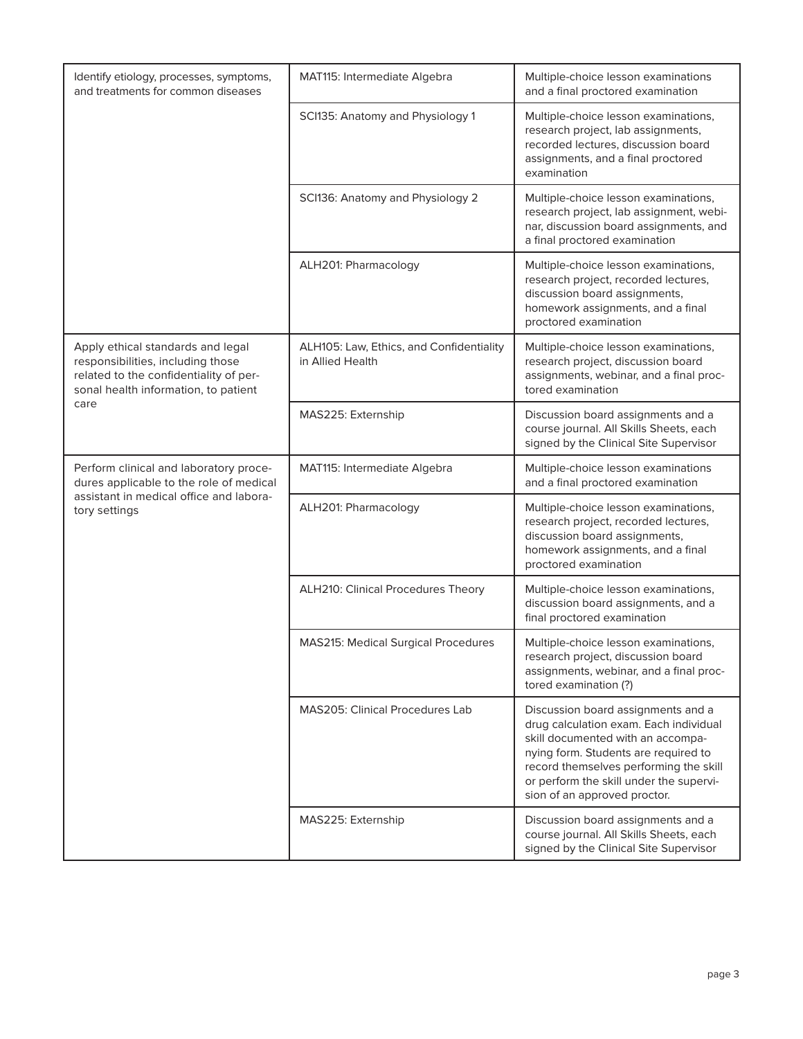| Identify etiology, processes, symptoms,<br>and treatments for common diseases                                                                                    | <b>MAT115: Intermediate Algebra</b>                          | Multiple-choice lesson examinations<br>and a final proctored examination                                                                                                                                                                                                       |  |
|------------------------------------------------------------------------------------------------------------------------------------------------------------------|--------------------------------------------------------------|--------------------------------------------------------------------------------------------------------------------------------------------------------------------------------------------------------------------------------------------------------------------------------|--|
|                                                                                                                                                                  | SCI135: Anatomy and Physiology 1                             | Multiple-choice lesson examinations,<br>research project, lab assignments,<br>recorded lectures, discussion board<br>assignments, and a final proctored<br>examination                                                                                                         |  |
|                                                                                                                                                                  | SCI136: Anatomy and Physiology 2                             | Multiple-choice lesson examinations,<br>research project, lab assignment, webi-<br>nar, discussion board assignments, and<br>a final proctored examination                                                                                                                     |  |
|                                                                                                                                                                  | ALH201: Pharmacology                                         | Multiple-choice lesson examinations,<br>research project, recorded lectures,<br>discussion board assignments,<br>homework assignments, and a final<br>proctored examination                                                                                                    |  |
| Apply ethical standards and legal<br>responsibilities, including those<br>related to the confidentiality of per-<br>sonal health information, to patient<br>care | ALH105: Law, Ethics, and Confidentiality<br>in Allied Health | Multiple-choice lesson examinations,<br>research project, discussion board<br>assignments, webinar, and a final proc-<br>tored examination                                                                                                                                     |  |
|                                                                                                                                                                  | MAS225: Externship                                           | Discussion board assignments and a<br>course journal. All Skills Sheets, each<br>signed by the Clinical Site Supervisor                                                                                                                                                        |  |
| Perform clinical and laboratory proce-<br>dures applicable to the role of medical<br>assistant in medical office and labora-<br>tory settings                    | MAT115: Intermediate Algebra                                 | Multiple-choice lesson examinations<br>and a final proctored examination                                                                                                                                                                                                       |  |
|                                                                                                                                                                  | ALH201: Pharmacology                                         | Multiple-choice lesson examinations,<br>research project, recorded lectures,<br>discussion board assignments,<br>homework assignments, and a final<br>proctored examination                                                                                                    |  |
|                                                                                                                                                                  | ALH210: Clinical Procedures Theory                           | Multiple-choice lesson examinations,<br>discussion board assignments, and a<br>final proctored examination                                                                                                                                                                     |  |
|                                                                                                                                                                  | <b>MAS215: Medical Surgical Procedures</b>                   | Multiple-choice lesson examinations,<br>research project, discussion board<br>assignments, webinar, and a final proc-<br>tored examination (?)                                                                                                                                 |  |
|                                                                                                                                                                  | <b>MAS205: Clinical Procedures Lab</b>                       | Discussion board assignments and a<br>drug calculation exam. Each individual<br>skill documented with an accompa-<br>nying form. Students are required to<br>record themselves performing the skill<br>or perform the skill under the supervi-<br>sion of an approved proctor. |  |
|                                                                                                                                                                  | MAS225: Externship                                           | Discussion board assignments and a<br>course journal. All Skills Sheets, each<br>signed by the Clinical Site Supervisor                                                                                                                                                        |  |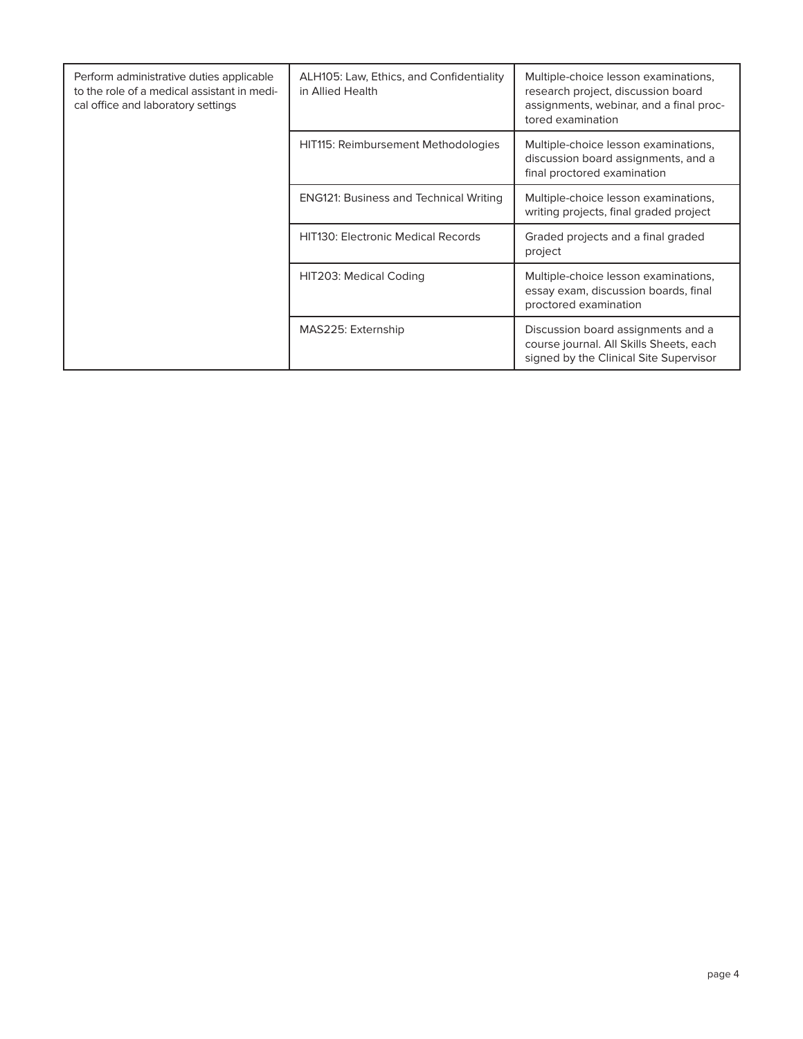| Perform administrative duties applicable<br>to the role of a medical assistant in medi-<br>cal office and laboratory settings | ALH105: Law, Ethics, and Confidentiality<br>in Allied Health | Multiple-choice lesson examinations,<br>research project, discussion board<br>assignments, webinar, and a final proc-<br>tored examination |
|-------------------------------------------------------------------------------------------------------------------------------|--------------------------------------------------------------|--------------------------------------------------------------------------------------------------------------------------------------------|
|                                                                                                                               | HIT115: Reimbursement Methodologies                          | Multiple-choice lesson examinations,<br>discussion board assignments, and a<br>final proctored examination                                 |
|                                                                                                                               | <b>ENG121: Business and Technical Writing</b>                | Multiple-choice lesson examinations,<br>writing projects, final graded project                                                             |
|                                                                                                                               | <b>HIT130: Electronic Medical Records</b>                    | Graded projects and a final graded<br>project                                                                                              |
|                                                                                                                               | HIT203: Medical Coding                                       | Multiple-choice lesson examinations,<br>essay exam, discussion boards, final<br>proctored examination                                      |
|                                                                                                                               | MAS225: Externship                                           | Discussion board assignments and a<br>course journal. All Skills Sheets, each<br>signed by the Clinical Site Supervisor                    |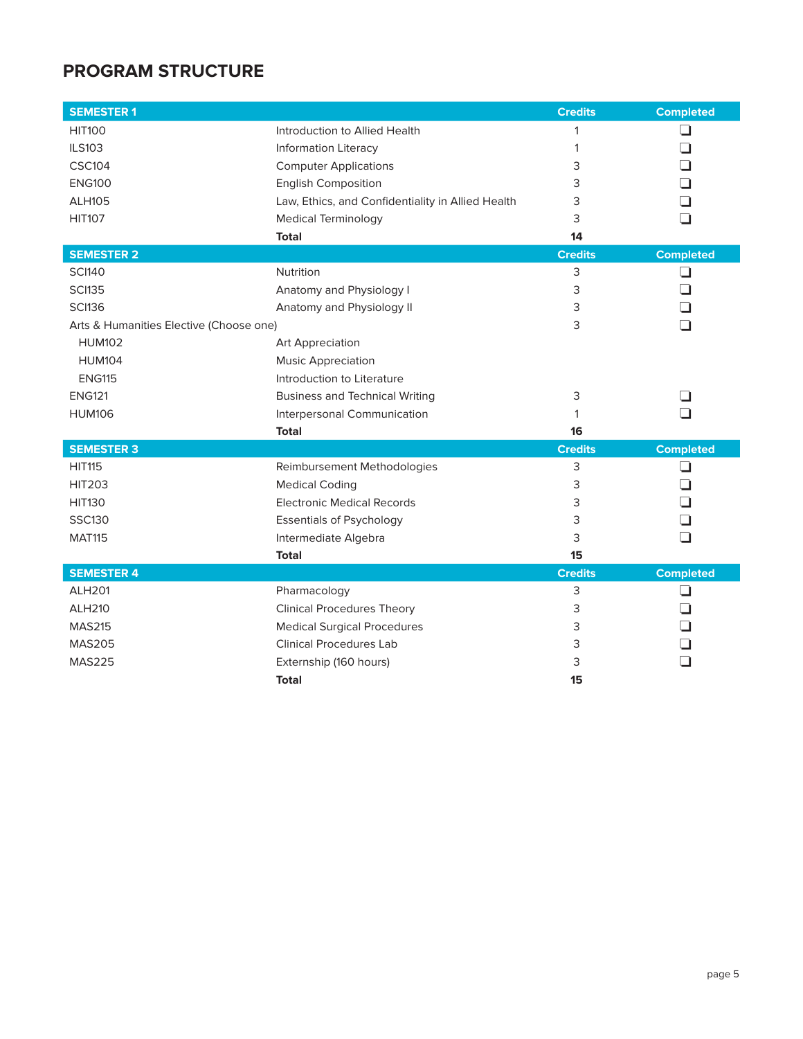# **PROGRAM STRUCTURE**

| <b>SEMESTER 1</b>                       |                                                   | <b>Credits</b> | <b>Completed</b> |
|-----------------------------------------|---------------------------------------------------|----------------|------------------|
| <b>HIT100</b>                           | Introduction to Allied Health                     | $\mathbf{1}$   | ⊐                |
| <b>ILS103</b>                           | <b>Information Literacy</b>                       | $\mathbf{1}$   | ┚                |
| <b>CSC104</b>                           | <b>Computer Applications</b>                      | 3              | ⊐                |
| <b>ENG100</b>                           | <b>English Composition</b>                        | 3              | ⊐                |
| <b>ALH105</b>                           | Law, Ethics, and Confidentiality in Allied Health | 3              | ⊐                |
| <b>HIT107</b>                           | <b>Medical Terminology</b>                        | 3              | ר                |
|                                         | <b>Total</b>                                      | 14             |                  |
| <b>SEMESTER 2</b>                       |                                                   | <b>Credits</b> | <b>Completed</b> |
| <b>SCI140</b>                           | Nutrition                                         | 3              | ❏                |
| <b>SCI135</b>                           | Anatomy and Physiology I                          | 3              | ⊐                |
| <b>SCI136</b>                           | Anatomy and Physiology II                         | 3              | ℶ                |
| Arts & Humanities Elective (Choose one) |                                                   | 3              | □                |
| <b>HUM102</b>                           | Art Appreciation                                  |                |                  |
| <b>HUM104</b>                           | <b>Music Appreciation</b>                         |                |                  |
| <b>ENG115</b>                           | Introduction to Literature                        |                |                  |
| <b>ENG121</b>                           | <b>Business and Technical Writing</b>             | 3              | - 1              |
| <b>HUM106</b>                           | Interpersonal Communication                       | 1              | ר                |
|                                         | <b>Total</b>                                      | 16             |                  |
| <b>SEMESTER 3</b>                       |                                                   | <b>Credits</b> | <b>Completed</b> |
| <b>HIT115</b>                           | Reimbursement Methodologies                       | 3              | ⊔                |
| <b>HIT203</b>                           | <b>Medical Coding</b>                             | 3              | ┚                |
| <b>HIT130</b>                           | <b>Electronic Medical Records</b>                 | 3              | ┓                |
| <b>SSC130</b>                           | <b>Essentials of Psychology</b>                   | 3              | ┚                |
| <b>MAT115</b>                           | Intermediate Algebra                              | 3              | □                |
|                                         | <b>Total</b>                                      | 15             |                  |
| <b>SEMESTER 4</b>                       |                                                   | <b>Credits</b> | <b>Completed</b> |
| <b>ALH201</b>                           | Pharmacology                                      | 3              | ப                |
| <b>ALH210</b>                           | <b>Clinical Procedures Theory</b>                 | 3              | ⊐                |
| <b>MAS215</b>                           | <b>Medical Surgical Procedures</b>                | 3              | ⊐                |
| <b>MAS205</b>                           | <b>Clinical Procedures Lab</b>                    | 3              | ℶ                |
| <b>MAS225</b>                           | Externship (160 hours)                            | 3              | ר                |
|                                         | Total                                             | 15             |                  |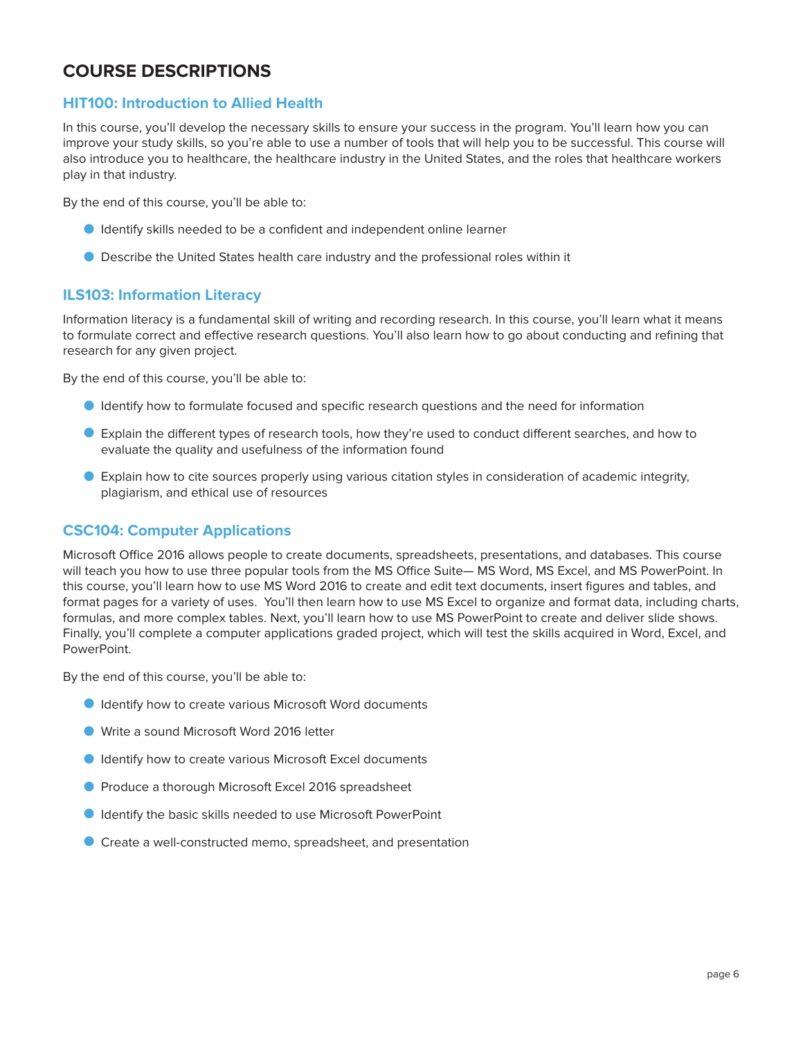# **COURSE DESCRIPTIONS**

# **HIT100: Introduction to Allied Health**

In this course, you'll develop the necessary skills to ensure your success in the program. You'll learn how you can improve your study skills, so you're able to use a number of tools that will help you to be successful. This course will also introduce you to healthcare, the healthcare industry in the United States, and the roles that healthcare workers play in that industry.

By the end of this course, you'll be able to:

- O Identify skills needed to be a confident and independent online learner
- O Describe the United States health care industry and the professional roles within it

#### **ILS103: Information Literacy**

Information literacy is a fundamental skill of writing and recording research. In this course, you'll learn what it means to formulate correct and effective research questions. You'll also learn how to go about conducting and refining that research for any given project.

By the end of this course, you'll be able to:

- O Identify how to formulate focused and specific research questions and the need for information
- O Explain the different types of research tools, how they're used to conduct different searches, and how to evaluate the quality and usefulness of the information found
- O Explain how to cite sources properly using various citation styles in consideration of academic integrity, plagiarism, and ethical use of resources

#### **CSC104: Computer Applications**

Microsoft Office 2016 allows people to create documents, spreadsheets, presentations, and databases. This course will teach you how to use three popular tools from the MS Office Suite— MS Word, MS Excel, and MS PowerPoint. In this course, you'll learn how to use MS Word 2016 to create and edit text documents, insert figures and tables, and format pages for a variety of uses. You'll then learn how to use MS Excel to organize and format data, including charts, formulas, and more complex tables. Next, you'll learn how to use MS PowerPoint to create and deliver slide shows. Finally, you'll complete a computer applications graded project, which will test the skills acquired in Word, Excel, and PowerPoint.

- O Identify how to create various Microsoft Word documents
- O Write a sound Microsoft Word 2016 letter
- O Identify how to create various Microsoft Excel documents
- O Produce a thorough Microsoft Excel 2016 spreadsheet
- O Identify the basic skills needed to use Microsoft PowerPoint
- Create a well-constructed memo, spreadsheet, and presentation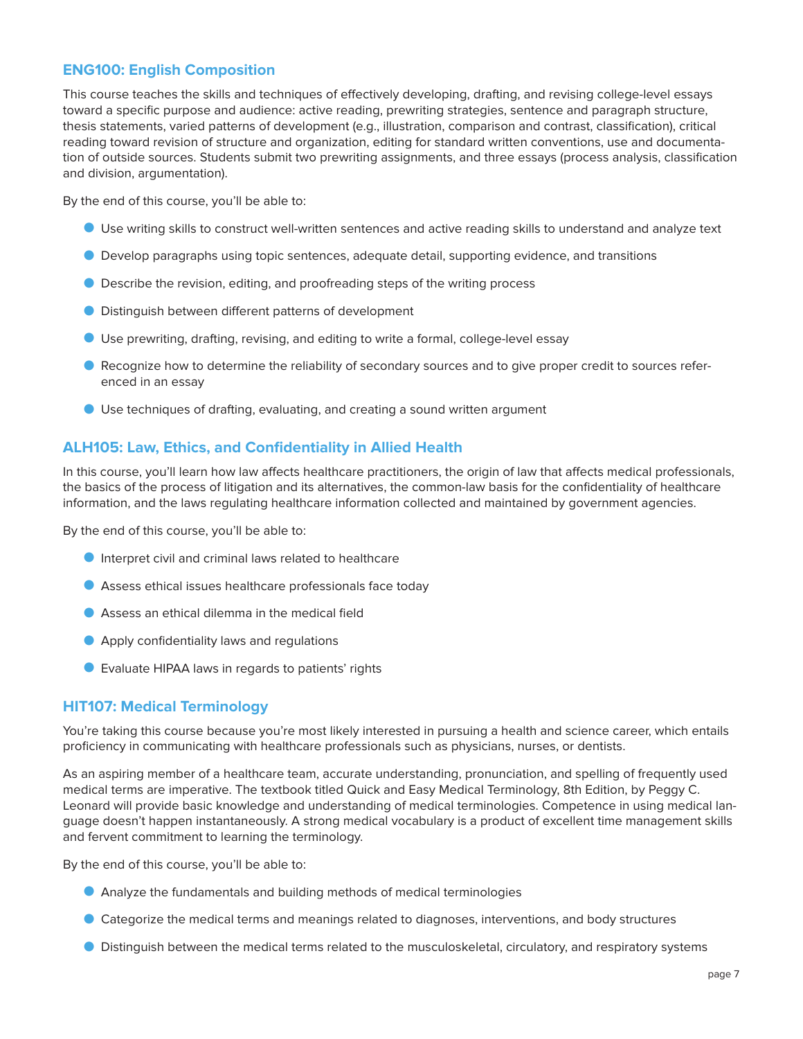# **ENG100: English Composition**

This course teaches the skills and techniques of effectively developing, drafting, and revising college-level essays toward a specific purpose and audience: active reading, prewriting strategies, sentence and paragraph structure, thesis statements, varied patterns of development (e.g., illustration, comparison and contrast, classification), critical reading toward revision of structure and organization, editing for standard written conventions, use and documentation of outside sources. Students submit two prewriting assignments, and three essays (process analysis, classification and division, argumentation).

By the end of this course, you'll be able to:

- O Use writing skills to construct well-written sentences and active reading skills to understand and analyze text
- O Develop paragraphs using topic sentences, adequate detail, supporting evidence, and transitions
- O Describe the revision, editing, and proofreading steps of the writing process
- O Distinguish between different patterns of development
- O Use prewriting, drafting, revising, and editing to write a formal, college-level essay
- O Recognize how to determine the reliability of secondary sources and to give proper credit to sources referenced in an essay
- O Use techniques of drafting, evaluating, and creating a sound written argument

# **ALH105: Law, Ethics, and Confidentiality in Allied Health**

In this course, you'll learn how law affects healthcare practitioners, the origin of law that affects medical professionals, the basics of the process of litigation and its alternatives, the common-law basis for the confidentiality of healthcare information, and the laws regulating healthcare information collected and maintained by government agencies.

By the end of this course, you'll be able to:

- O Interpret civil and criminal laws related to healthcare
- O Assess ethical issues healthcare professionals face today
- Assess an ethical dilemma in the medical field
- **O** Apply confidentiality laws and regulations
- O Evaluate HIPAA laws in regards to patients' rights

#### **HIT107: Medical Terminology**

You're taking this course because you're most likely interested in pursuing a health and science career, which entails proficiency in communicating with healthcare professionals such as physicians, nurses, or dentists.

As an aspiring member of a healthcare team, accurate understanding, pronunciation, and spelling of frequently used medical terms are imperative. The textbook titled Quick and Easy Medical Terminology, 8th Edition, by Peggy C. Leonard will provide basic knowledge and understanding of medical terminologies. Competence in using medical language doesn't happen instantaneously. A strong medical vocabulary is a product of excellent time management skills and fervent commitment to learning the terminology.

- O Analyze the fundamentals and building methods of medical terminologies
- O Categorize the medical terms and meanings related to diagnoses, interventions, and body structures
- Distinguish between the medical terms related to the musculoskeletal, circulatory, and respiratory systems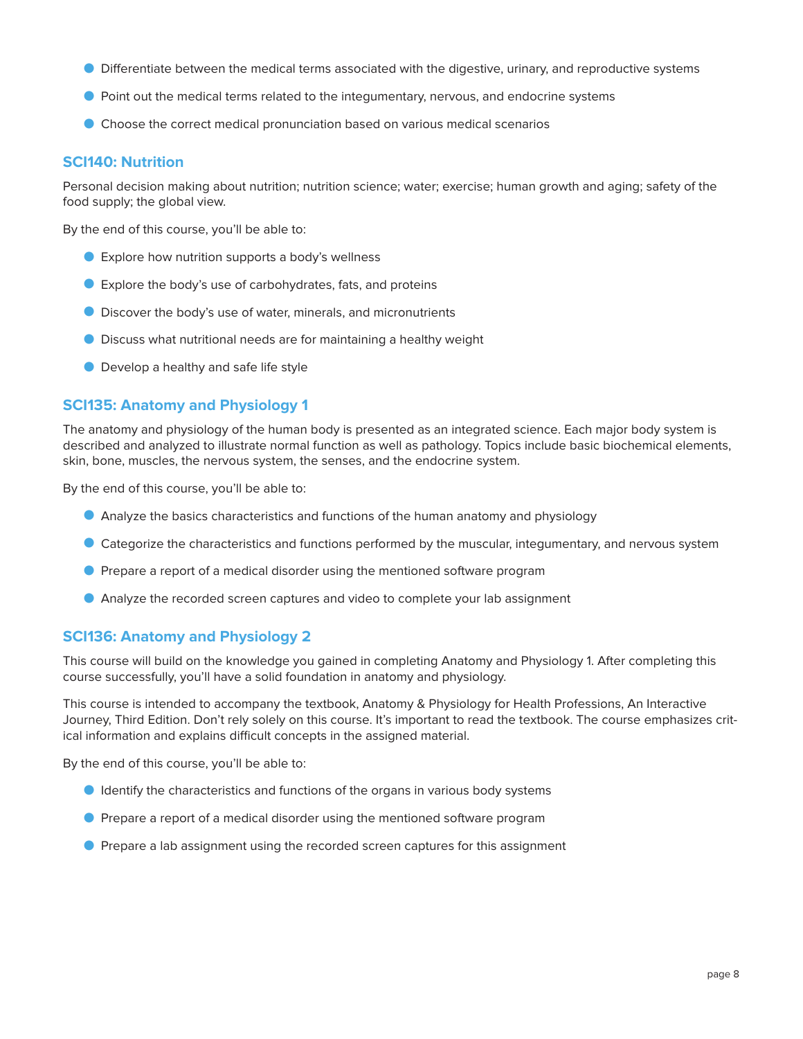- O Differentiate between the medical terms associated with the digestive, urinary, and reproductive systems
- O Point out the medical terms related to the integumentary, nervous, and endocrine systems
- O Choose the correct medical pronunciation based on various medical scenarios

#### **SCI140: Nutrition**

Personal decision making about nutrition; nutrition science; water; exercise; human growth and aging; safety of the food supply; the global view.

By the end of this course, you'll be able to:

- O Explore how nutrition supports a body's wellness
- O Explore the body's use of carbohydrates, fats, and proteins
- O Discover the body's use of water, minerals, and micronutrients
- O Discuss what nutritional needs are for maintaining a healthy weight
- **O** Develop a healthy and safe life style

# **SCI135: Anatomy and Physiology 1**

The anatomy and physiology of the human body is presented as an integrated science. Each major body system is described and analyzed to illustrate normal function as well as pathology. Topics include basic biochemical elements, skin, bone, muscles, the nervous system, the senses, and the endocrine system.

By the end of this course, you'll be able to:

- O Analyze the basics characteristics and functions of the human anatomy and physiology
- O Categorize the characteristics and functions performed by the muscular, integumentary, and nervous system
- **O** Prepare a report of a medical disorder using the mentioned software program
- O Analyze the recorded screen captures and video to complete your lab assignment

# **SCI136: Anatomy and Physiology 2**

This course will build on the knowledge you gained in completing Anatomy and Physiology 1. After completing this course successfully, you'll have a solid foundation in anatomy and physiology.

This course is intended to accompany the textbook, Anatomy & Physiology for Health Professions, An Interactive Journey, Third Edition. Don't rely solely on this course. It's important to read the textbook. The course emphasizes critical information and explains difficult concepts in the assigned material.

- O Identify the characteristics and functions of the organs in various body systems
- O Prepare a report of a medical disorder using the mentioned software program
- O Prepare a lab assignment using the recorded screen captures for this assignment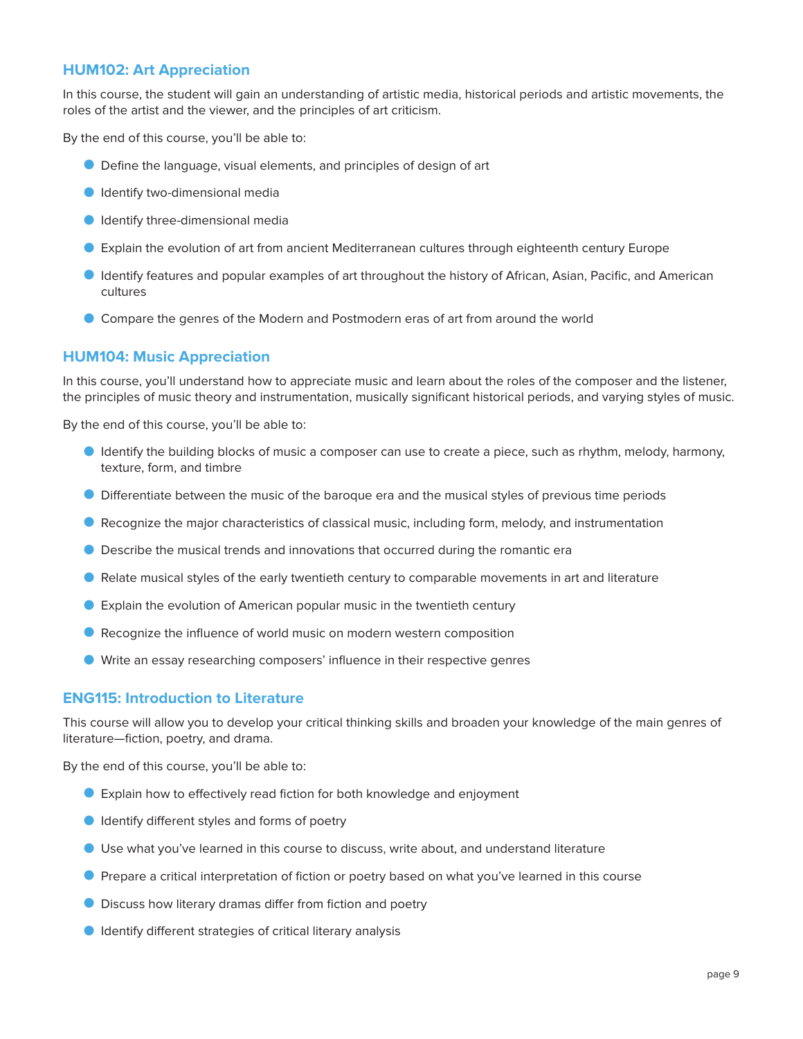# **HUM102: Art Appreciation**

In this course, the student will gain an understanding of artistic media, historical periods and artistic movements, the roles of the artist and the viewer, and the principles of art criticism.

By the end of this course, you'll be able to:

- O Define the language, visual elements, and principles of design of art
- O Identify two-dimensional media
- O Identify three-dimensional media
- O Explain the evolution of art from ancient Mediterranean cultures through eighteenth century Europe
- O Identify features and popular examples of art throughout the history of African, Asian, Pacific, and American cultures
- O Compare the genres of the Modern and Postmodern eras of art from around the world

#### **HUM104: Music Appreciation**

In this course, you'll understand how to appreciate music and learn about the roles of the composer and the listener, the principles of music theory and instrumentation, musically significant historical periods, and varying styles of music.

By the end of this course, you'll be able to:

- O Identify the building blocks of music a composer can use to create a piece, such as rhythm, melody, harmony, texture, form, and timbre
- O Differentiate between the music of the baroque era and the musical styles of previous time periods
- O Recognize the major characteristics of classical music, including form, melody, and instrumentation
- O Describe the musical trends and innovations that occurred during the romantic era
- O Relate musical styles of the early twentieth century to comparable movements in art and literature
- O Explain the evolution of American popular music in the twentieth century
- O Recognize the influence of world music on modern western composition
- O Write an essay researching composers' influence in their respective genres

#### **ENG115: Introduction to Literature**

This course will allow you to develop your critical thinking skills and broaden your knowledge of the main genres of literature—fiction, poetry, and drama.

- O Explain how to effectively read fiction for both knowledge and enjoyment
- O Identify different styles and forms of poetry
- O Use what you've learned in this course to discuss, write about, and understand literature
- O Prepare a critical interpretation of fiction or poetry based on what you've learned in this course
- **D** Discuss how literary dramas differ from fiction and poetry
- **O** Identify different strategies of critical literary analysis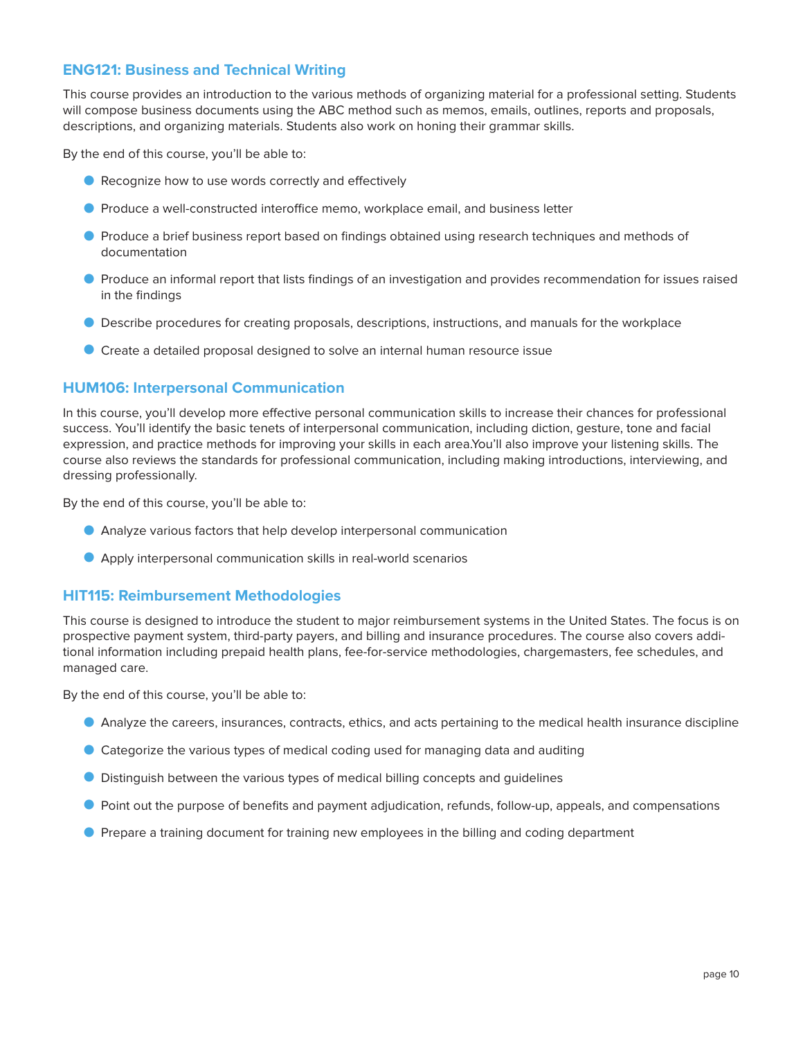# **ENG121: Business and Technical Writing**

This course provides an introduction to the various methods of organizing material for a professional setting. Students will compose business documents using the ABC method such as memos, emails, outlines, reports and proposals, descriptions, and organizing materials. Students also work on honing their grammar skills.

By the end of this course, you'll be able to:

- Recognize how to use words correctly and effectively
- **O** Produce a well-constructed interoffice memo, workplace email, and business letter
- **Produce a brief business report based on findings obtained using research techniques and methods of** documentation
- O Produce an informal report that lists findings of an investigation and provides recommendation for issues raised in the findings
- O Describe procedures for creating proposals, descriptions, instructions, and manuals for the workplace
- O Create a detailed proposal designed to solve an internal human resource issue

#### **HUM106: Interpersonal Communication**

In this course, you'll develop more effective personal communication skills to increase their chances for professional success. You'll identify the basic tenets of interpersonal communication, including diction, gesture, tone and facial expression, and practice methods for improving your skills in each area.You'll also improve your listening skills. The course also reviews the standards for professional communication, including making introductions, interviewing, and dressing professionally.

By the end of this course, you'll be able to:

- O Analyze various factors that help develop interpersonal communication
- O Apply interpersonal communication skills in real-world scenarios

#### **HIT115: Reimbursement Methodologies**

This course is designed to introduce the student to major reimbursement systems in the United States. The focus is on prospective payment system, third-party payers, and billing and insurance procedures. The course also covers additional information including prepaid health plans, fee-for-service methodologies, chargemasters, fee schedules, and managed care.

- O Analyze the careers, insurances, contracts, ethics, and acts pertaining to the medical health insurance discipline
- O Categorize the various types of medical coding used for managing data and auditing
- **Distinguish between the various types of medical billing concepts and guidelines**
- Point out the purpose of benefits and payment adjudication, refunds, follow-up, appeals, and compensations
- **Prepare a training document for training new employees in the billing and coding department**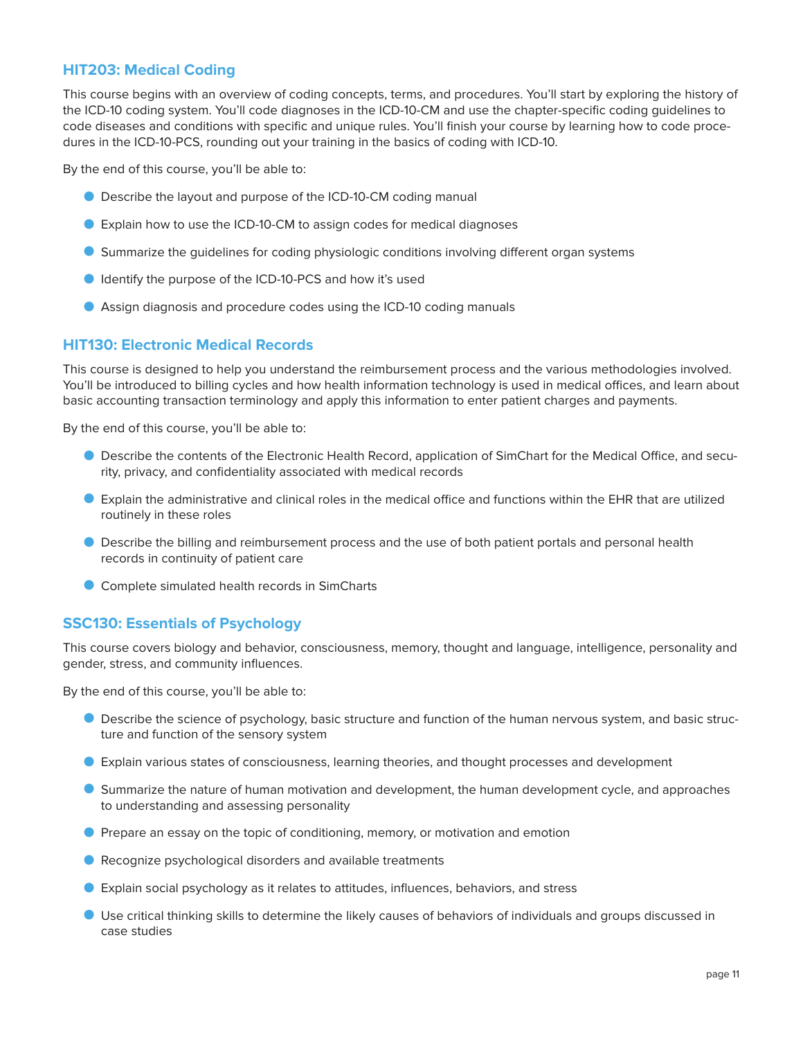# **HIT203: Medical Coding**

This course begins with an overview of coding concepts, terms, and procedures. You'll start by exploring the history of the ICD-10 coding system. You'll code diagnoses in the ICD-10-CM and use the chapter-specific coding guidelines to code diseases and conditions with specific and unique rules. You'll finish your course by learning how to code procedures in the ICD-10-PCS, rounding out your training in the basics of coding with ICD-10.

By the end of this course, you'll be able to:

- O Describe the layout and purpose of the ICD-10-CM coding manual
- O Explain how to use the ICD-10-CM to assign codes for medical diagnoses
- O Summarize the guidelines for coding physiologic conditions involving different organ systems
- **O** Identify the purpose of the ICD-10-PCS and how it's used
- O Assign diagnosis and procedure codes using the ICD-10 coding manuals

#### **HIT130: Electronic Medical Records**

This course is designed to help you understand the reimbursement process and the various methodologies involved. You'll be introduced to billing cycles and how health information technology is used in medical offices, and learn about basic accounting transaction terminology and apply this information to enter patient charges and payments.

By the end of this course, you'll be able to:

- O Describe the contents of the Electronic Health Record, application of SimChart for the Medical Office, and security, privacy, and confidentiality associated with medical records
- O Explain the administrative and clinical roles in the medical office and functions within the EHR that are utilized routinely in these roles
- O Describe the billing and reimbursement process and the use of both patient portals and personal health records in continuity of patient care
- O Complete simulated health records in SimCharts

#### **SSC130: Essentials of Psychology**

This course covers biology and behavior, consciousness, memory, thought and language, intelligence, personality and gender, stress, and community influences.

- O Describe the science of psychology, basic structure and function of the human nervous system, and basic structure and function of the sensory system
- O Explain various states of consciousness, learning theories, and thought processes and development
- O Summarize the nature of human motivation and development, the human development cycle, and approaches to understanding and assessing personality
- **P** Prepare an essay on the topic of conditioning, memory, or motivation and emotion
- Recognize psychological disorders and available treatments
- O Explain social psychology as it relates to attitudes, influences, behaviors, and stress
- O Use critical thinking skills to determine the likely causes of behaviors of individuals and groups discussed in case studies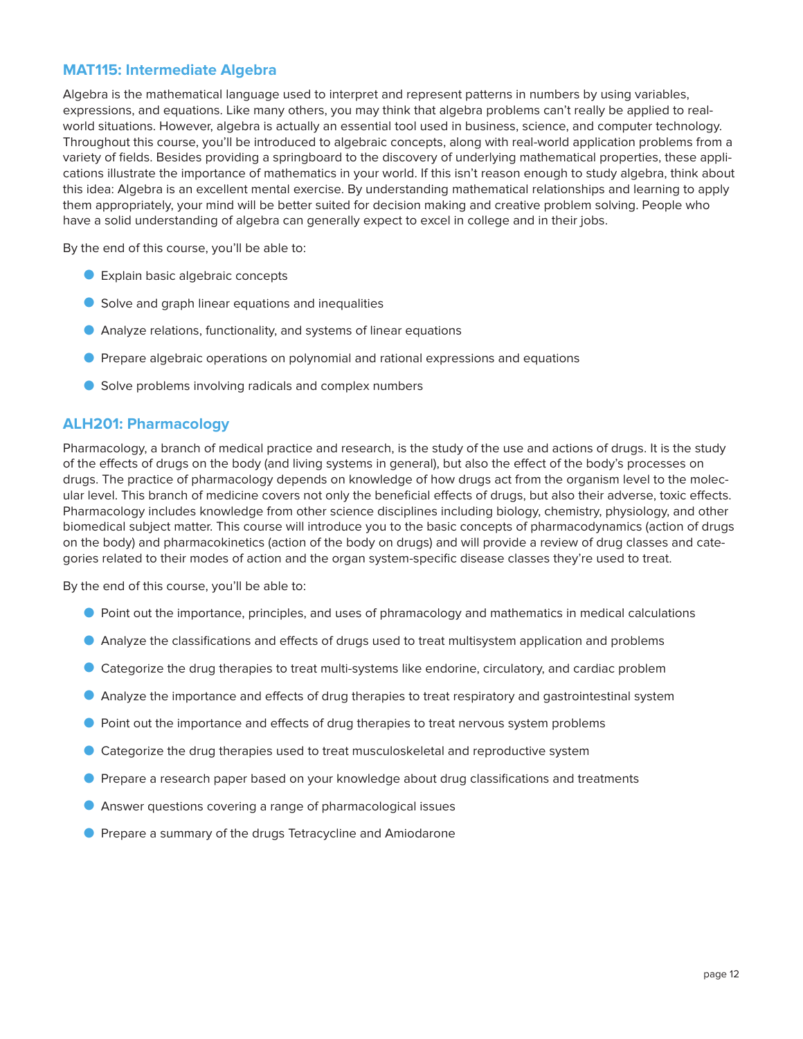# **MAT115: Intermediate Algebra**

Algebra is the mathematical language used to interpret and represent patterns in numbers by using variables, expressions, and equations. Like many others, you may think that algebra problems can't really be applied to realworld situations. However, algebra is actually an essential tool used in business, science, and computer technology. Throughout this course, you'll be introduced to algebraic concepts, along with real-world application problems from a variety of fields. Besides providing a springboard to the discovery of underlying mathematical properties, these applications illustrate the importance of mathematics in your world. If this isn't reason enough to study algebra, think about this idea: Algebra is an excellent mental exercise. By understanding mathematical relationships and learning to apply them appropriately, your mind will be better suited for decision making and creative problem solving. People who have a solid understanding of algebra can generally expect to excel in college and in their jobs.

By the end of this course, you'll be able to:

- O Explain basic algebraic concepts
- O Solve and graph linear equations and inequalities
- O Analyze relations, functionality, and systems of linear equations
- O Prepare algebraic operations on polynomial and rational expressions and equations
- Solve problems involving radicals and complex numbers

#### **ALH201: Pharmacology**

Pharmacology, a branch of medical practice and research, is the study of the use and actions of drugs. It is the study of the effects of drugs on the body (and living systems in general), but also the effect of the body's processes on drugs. The practice of pharmacology depends on knowledge of how drugs act from the organism level to the molecular level. This branch of medicine covers not only the beneficial effects of drugs, but also their adverse, toxic effects. Pharmacology includes knowledge from other science disciplines including biology, chemistry, physiology, and other biomedical subject matter. This course will introduce you to the basic concepts of pharmacodynamics (action of drugs on the body) and pharmacokinetics (action of the body on drugs) and will provide a review of drug classes and categories related to their modes of action and the organ system-specific disease classes they're used to treat.

- O Point out the importance, principles, and uses of phramacology and mathematics in medical calculations
- O Analyze the classifications and effects of drugs used to treat multisystem application and problems
- O Categorize the drug therapies to treat multi-systems like endorine, circulatory, and cardiac problem
- **Analyze the importance and effects of drug therapies to treat respiratory and gastrointestinal system**
- **O** Point out the importance and effects of drug therapies to treat nervous system problems
- Categorize the drug therapies used to treat musculoskeletal and reproductive system
- **P** Prepare a research paper based on your knowledge about drug classifications and treatments
- **D** Answer questions covering a range of pharmacological issues
- **P** Prepare a summary of the drugs Tetracycline and Amiodarone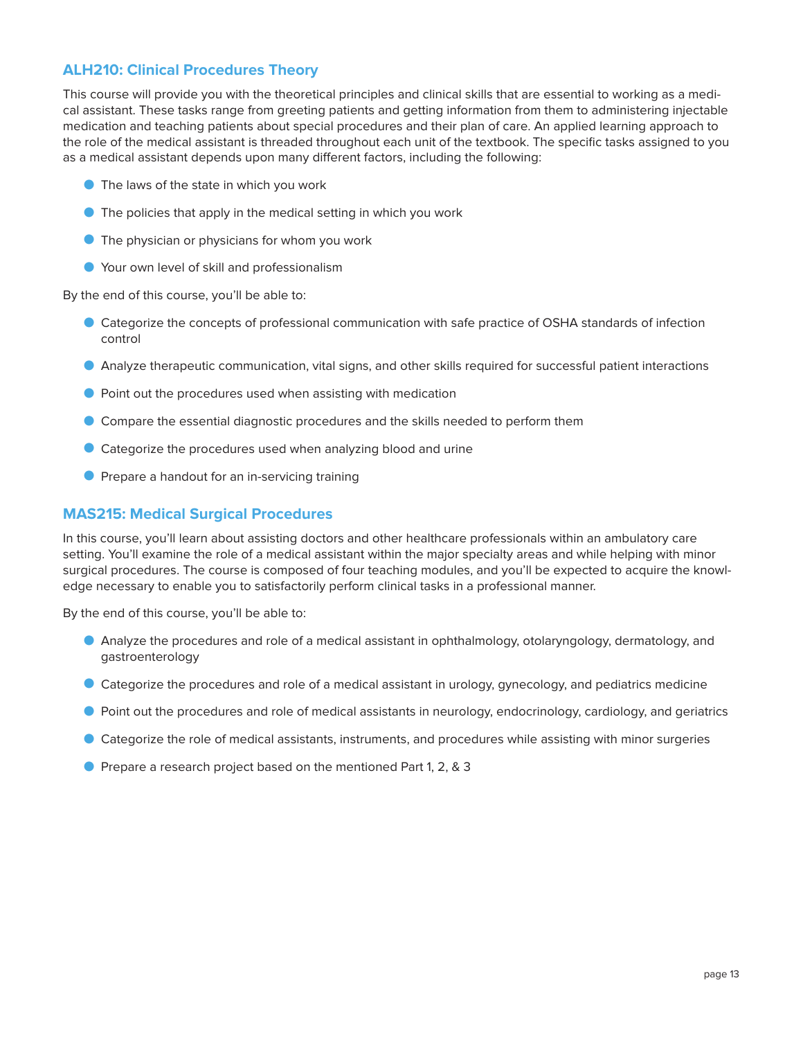# **ALH210: Clinical Procedures Theory**

This course will provide you with the theoretical principles and clinical skills that are essential to working as a medical assistant. These tasks range from greeting patients and getting information from them to administering injectable medication and teaching patients about special procedures and their plan of care. An applied learning approach to the role of the medical assistant is threaded throughout each unit of the textbook. The specific tasks assigned to you as a medical assistant depends upon many different factors, including the following:

- O The laws of the state in which you work
- O The policies that apply in the medical setting in which you work
- The physician or physicians for whom you work
- O Your own level of skill and professionalism

By the end of this course, you'll be able to:

- O Categorize the concepts of professional communication with safe practice of OSHA standards of infection control
- O Analyze therapeutic communication, vital signs, and other skills required for successful patient interactions
- O Point out the procedures used when assisting with medication
- O Compare the essential diagnostic procedures and the skills needed to perform them
- O Categorize the procedures used when analyzing blood and urine
- **O** Prepare a handout for an in-servicing training

# **MAS215: Medical Surgical Procedures**

In this course, you'll learn about assisting doctors and other healthcare professionals within an ambulatory care setting. You'll examine the role of a medical assistant within the major specialty areas and while helping with minor surgical procedures. The course is composed of four teaching modules, and you'll be expected to acquire the knowledge necessary to enable you to satisfactorily perform clinical tasks in a professional manner.

- O Analyze the procedures and role of a medical assistant in ophthalmology, otolaryngology, dermatology, and gastroenterology
- O Categorize the procedures and role of a medical assistant in urology, gynecology, and pediatrics medicine
- O Point out the procedures and role of medical assistants in neurology, endocrinology, cardiology, and geriatrics
- O Categorize the role of medical assistants, instruments, and procedures while assisting with minor surgeries
- O Prepare a research project based on the mentioned Part 1, 2, & 3